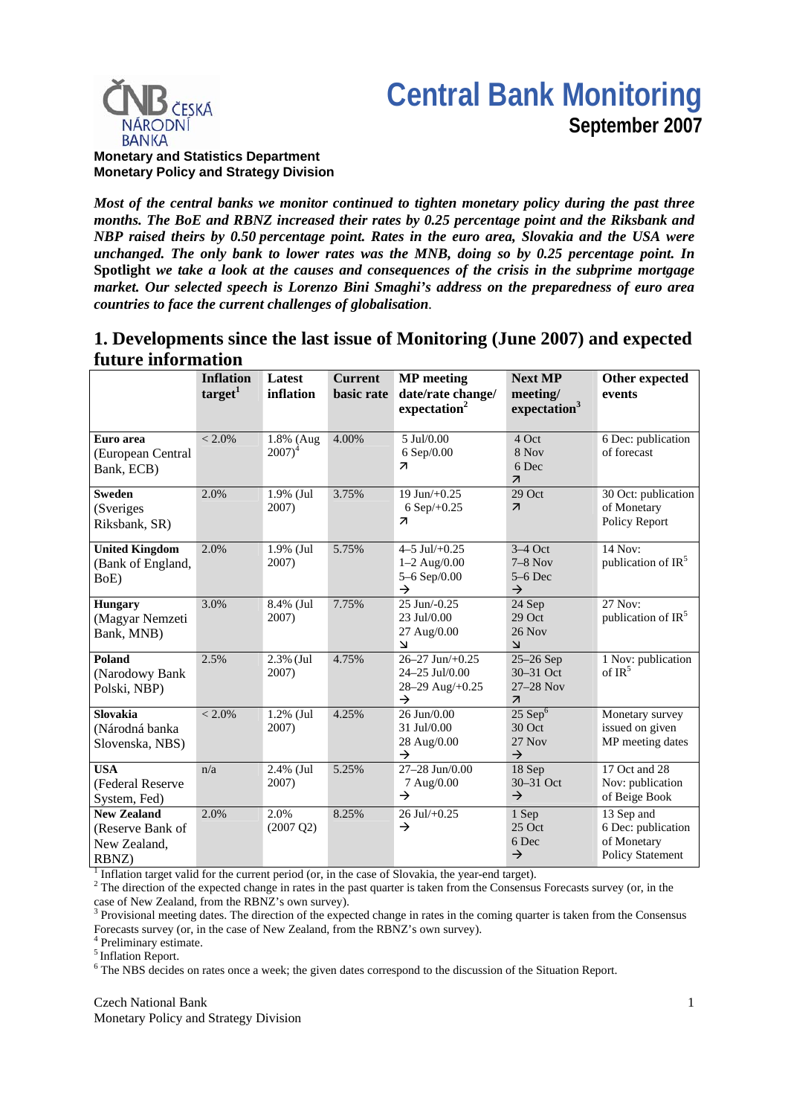



#### **Monetary and Statistics Department Monetary Policy and Strategy Division**

*Most of the central banks we monitor continued to tighten monetary policy during the past three months. The BoE and RBNZ increased their rates by 0.25 percentage point and the Riksbank and NBP raised theirs by 0.50 percentage point. Rates in the euro area, Slovakia and the USA were unchanged. The only bank to lower rates was the MNB, doing so by 0.25 percentage point. In*  **Spotlight** *we take a look at the causes and consequences of the crisis in the subprime mortgage market. Our selected speech is Lorenzo Bini Smaghi's address on the preparedness of euro area countries to face the current challenges of globalisation.* 

# **1. Developments since the last issue of Monitoring (June 2007) and expected future information**

|                                                          | <b>Inflation</b><br>target <sup>1</sup> | Latest<br>inflation         | <b>Current</b><br><b>basic</b> rate | <b>MP</b> meeting<br>date/rate change/<br>expectation <sup>2</sup>             | <b>Next MP</b><br>meeting/<br>expectation <sup>3</sup>                | Other expected<br>events                                                   |
|----------------------------------------------------------|-----------------------------------------|-----------------------------|-------------------------------------|--------------------------------------------------------------------------------|-----------------------------------------------------------------------|----------------------------------------------------------------------------|
| Euro area<br>(European Central<br>Bank, ECB)             | $< 2.0\%$                               | 1.8% (Aug)<br>$2007)^4$     | 4.00%                               | 5 Jul/0.00<br>6 Sep/0.00<br>$\overline{\mathbf{z}}$                            | 4 Oct<br>8 Nov<br>6 Dec<br>$\overline{\mathcal{A}}$                   | 6 Dec: publication<br>of forecast                                          |
| <b>Sweden</b><br>(Sveriges<br>Riksbank, SR)              | 2.0%                                    | $1.9\%$ (Jul<br>2007)       | 3.75%                               | 19 Jun/+0.25<br>6 Sep $/+0.25$<br>$\overline{\mathbf{z}}$                      | $29$ Oct<br>$\overline{\mathcal{A}}$                                  | 30 Oct: publication<br>of Monetary<br>Policy Report                        |
| <b>United Kingdom</b><br>(Bank of England,<br>BoE)       | 2.0%                                    | 1.9% (Jul<br>2007)          | 5.75%                               | 4-5 Jul/ $+0.25$<br>$1 - 2$ Aug/0.00<br>5-6 Sep/ $0.00$<br>$\rightarrow$       | $3-4$ Oct<br>$7-8$ Nov<br>$5-6$ Dec<br>$\rightarrow$                  | 14 Nov:<br>publication of IR <sup>5</sup>                                  |
| <b>Hungary</b><br>(Magyar Nemzeti<br>Bank, MNB)          | 3.0%                                    | 8.4% (Jul<br>2007)          | 7.75%                               | $25$ Jun/-0.25<br>23 Jul/0.00<br>27 Aug/0.00<br>$\mathbf{\Sigma}$              | 24 Sep<br>$29$ Oct<br>$26$ Nov<br>لا                                  | 27 Nov:<br>publication of IR <sup>5</sup>                                  |
| Poland<br>(Narodowy Bank<br>Polski, NBP)                 | 2.5%                                    | 2.3% (Jul<br>2007)          | 4.75%                               | $26 - 27$ Jun $/ + 0.25$<br>24-25 Jul/0.00<br>28-29 Aug/+0.25<br>$\rightarrow$ | $25-26$ Sep<br>$30 - 31$ Oct<br>27-28 Nov<br>$\overline{\mathcal{A}}$ | 1 Nov: publication<br>of $IR^5$                                            |
| Slovakia<br>(Národná banka<br>Slovenska, NBS)            | $< 2.0\%$                               | 1.2% (Jul<br>2007)          | 4.25%                               | 26 Jun/0.00<br>31 Jul/0.00<br>28 Aug/0.00<br>$\rightarrow$                     | $25$ Sep $6$<br>30 Oct<br>27 Nov<br>$\rightarrow$                     | Monetary survey<br>issued on given<br>MP meeting dates                     |
| <b>USA</b><br>(Federal Reserve<br>System, Fed)           | n/a                                     | $2.4\%$ (Jul<br>2007)       | 5.25%                               | 27-28 Jun/0.00<br>7 Aug/0.00<br>$\rightarrow$                                  | 18 Sep<br>30-31 Oct<br>$\rightarrow$                                  | 17 Oct and 28<br>Nov: publication<br>of Beige Book                         |
| New Zealand<br>(Reserve Bank of<br>New Zealand,<br>RBNZ) | 2.0%                                    | 2.0%<br>$(2007 \text{ Q2})$ | 8.25%                               | $26$ Jul $/+0.25$<br>$\rightarrow$                                             | 1 Sep<br>$25$ Oct<br>6 Dec<br>$\rightarrow$                           | 13 Sep and<br>6 Dec: publication<br>of Monetary<br><b>Policy Statement</b> |

 $<sup>1</sup>$  Inflation target valid for the current period (or, in the case of Slovakia, the year-end target).</sup>

 $2<sup>2</sup>$  The direction of the expected change in rates in the past quarter is taken from the Consensus Forecasts survey (or, in the

case of New Zealand, from the RBNZ's own survey).<br><sup>3</sup> Provisional meeting dates. The direction of the expected change in rates in the coming quarter is taken from the Consensus Forecasts survey (or, in the case of New Zealand, from the RBNZ's own survey).

4 Preliminary estimate.

<sup>5</sup> Inflation Report.

<sup>6</sup> The NBS decides on rates once a week; the given dates correspond to the discussion of the Situation Report.

Czech National Bank Monetary Policy and Strategy Division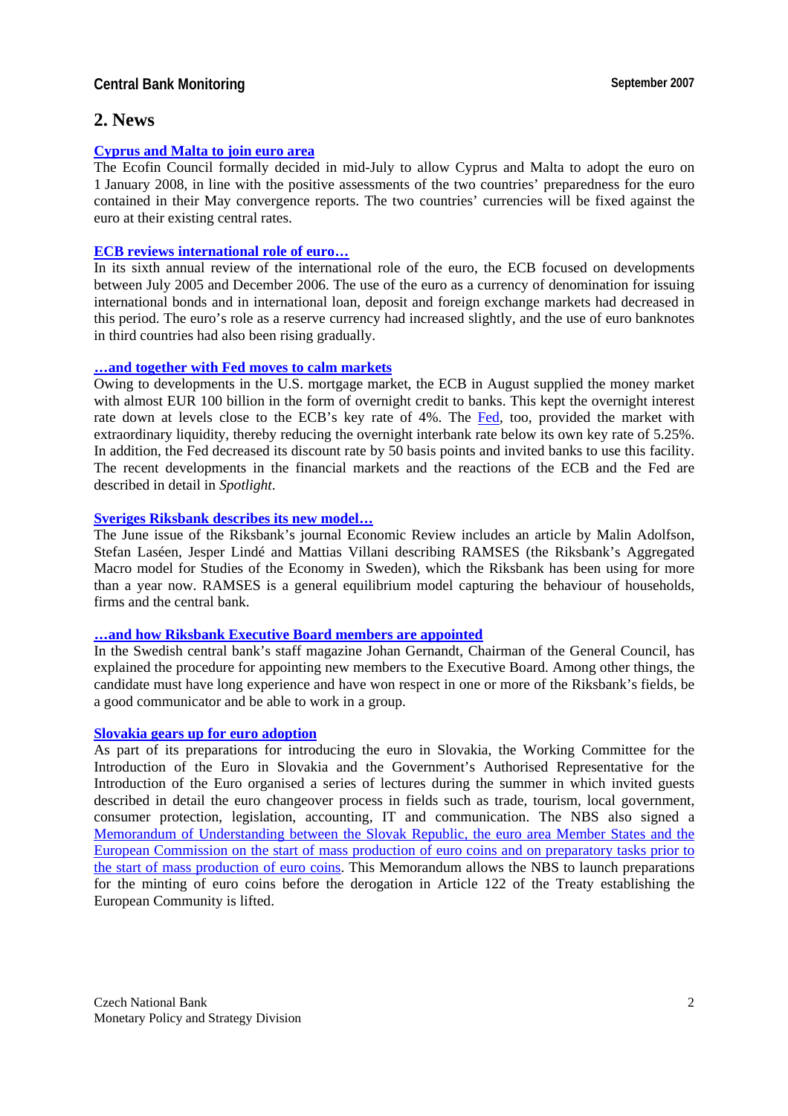## **Central Bank Monitoring September 2007**

## **2. News**

## **[Cyprus and Malta to join euro area](http://europa.eu/rapid/pressReleasesAction.do?reference=IP/07/1040&format=HTML&aged=0&language=EN)**

The Ecofin Council formally decided in mid-July to allow Cyprus and Malta to adopt the euro on 1 January 2008, in line with the positive assessments of the two countries' preparedness for the euro contained in their May convergence reports. The two countries' currencies will be fixed against the euro at their existing central rates.

#### **[ECB reviews international role of euro](http://www.ecb.int/press/pr/date/2007/html/pr070625.en.html)…**

In its sixth annual review of the international role of the euro, the ECB focused on developments between July 2005 and December 2006. The use of the euro as a currency of denomination for issuing international bonds and in international loan, deposit and foreign exchange markets had decreased in this period. The euro's role as a reserve currency had increased slightly, and the use of euro banknotes in third countries had also been rising gradually.

## **…[and together with Fed moves to calm markets](http://www.ecb.int/press/pr/date/2007/html/pr070814_1.en.html)**

Owing to developments in the U.S. mortgage market, the ECB in August supplied the money market with almost EUR 100 billion in the form of overnight credit to banks. This kept the overnight interest rate down at levels close to the ECB's key rate of 4%. The [Fed](http://www.federalreserve.gov/boarddocs/press/monetary/2007/20070810/default.htm), too, provided the market with extraordinary liquidity, thereby reducing the overnight interbank rate below its own key rate of 5.25%. In addition, the Fed decreased its discount rate by 50 basis points and invited banks to use this facility. The recent developments in the financial markets and the reactions of the ECB and the Fed are described in detail in *Spotlight*.

#### **[Sveriges Riksbank describes its new model](http://www.riksbank.com/templates/Page.aspx?id=25211)…**

The June issue of the Riksbank's journal Economic Review includes an article by Malin Adolfson, Stefan Laséen, Jesper Lindé and Mattias Villani describing RAMSES (the Riksbank's Aggregated Macro model for Studies of the Economy in Sweden), which the Riksbank has been using for more than a year now. RAMSES is a general equilibrium model capturing the behaviour of households, firms and the central bank.

#### **…[and how Riksbank Executive Board members are appointed](http://www.riksbank.com/pagefolders/30781/how_new_governor.pdf)**

In the Swedish central bank's staff magazine Johan Gernandt, Chairman of the General Council, has explained the procedure for appointing new members to the Executive Board. Among other things, the candidate must have long experience and have won respect in one or more of the Riksbank's fields, be a good communicator and be able to work in a group.

#### **[Slovakia gears up for euro adoption](http://www.nbs.sk/PRESS/TS070725.HTM)**

As part of its preparations for introducing the euro in Slovakia, the Working Committee for the Introduction of the Euro in Slovakia and the Government's Authorised Representative for the Introduction of the Euro organised a series of lectures during the summer in which invited guests described in detail the euro changeover process in fields such as trade, tourism, local government, consumer protection, legislation, accounting, IT and communication. The NBS also signed a [Memorandum of Understanding between the Slovak Republic, the euro area Member States and the](http://www.nbs.sk/PRESS/TS070626_5.HTM)  [European Commission on the start of mass production of euro coins and on preparatory tasks prior to](http://www.nbs.sk/PRESS/TS070626_5.HTM)  [the start of mass production of euro coins](http://www.nbs.sk/PRESS/TS070626_5.HTM). This Memorandum allows the NBS to launch preparations for the minting of euro coins before the derogation in Article 122 of the Treaty establishing the European Community is lifted.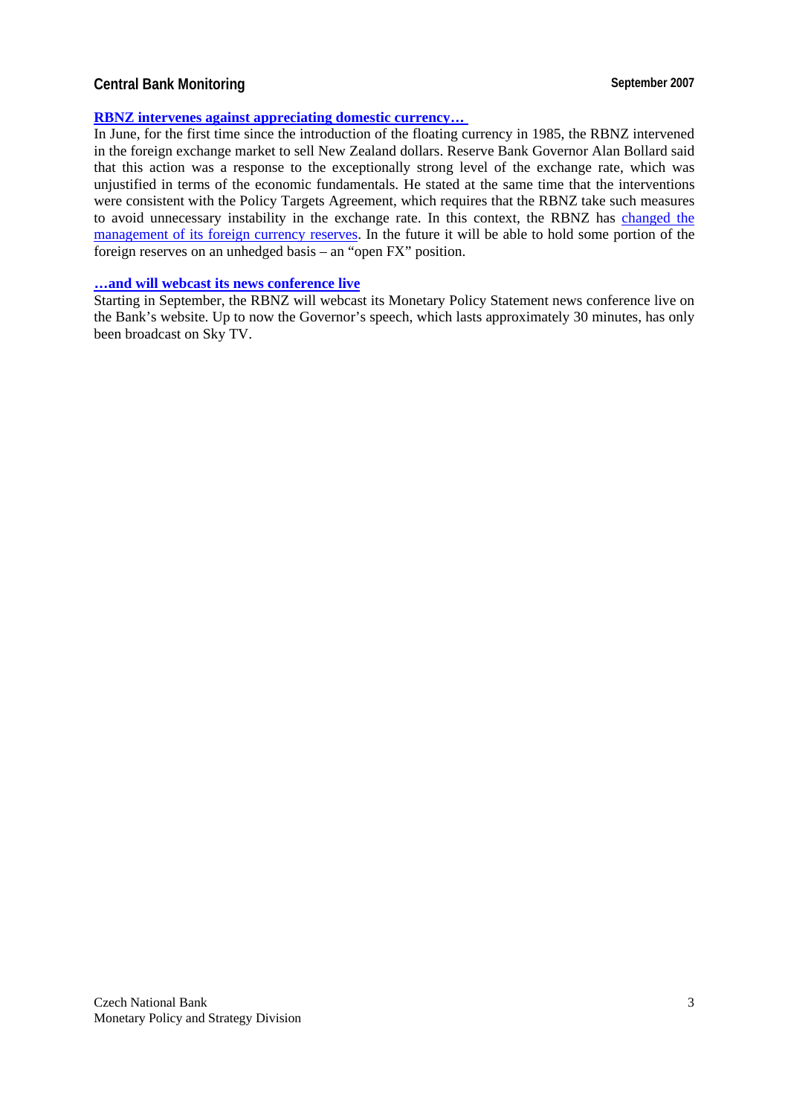## **Central Bank Monitoring September 2007**

### **[RBNZ intervenes against appreciating domestic currency](http://www.rbnz.govt.nz/news/2007/3036605.html)…**

In June, for the first time since the introduction of the floating currency in 1985, the RBNZ intervened in the foreign exchange market to sell New Zealand dollars. Reserve Bank Governor Alan Bollard said that this action was a response to the exceptionally strong level of the exchange rate, which was unjustified in terms of the economic fundamentals. He stated at the same time that the interventions were consistent with the Policy Targets Agreement, which requires that the RBNZ take such measures to avoid unnecessary instability in the exchange rate. In this context, the RBNZ has [changed the](http://www.rbnz.govt.nz/news/2007/3065318.html)  [management of its foreign currency reserves](http://www.rbnz.govt.nz/news/2007/3065318.html). In the future it will be able to hold some portion of the foreign reserves on an unhedged basis – an "open FX" position.

#### **…[and will webcast its news conference live](http://www.rbnz.govt.nz/news/2007/3101914.html)**

Starting in September, the RBNZ will webcast its Monetary Policy Statement news conference live on the Bank's website. Up to now the Governor's speech, which lasts approximately 30 minutes, has only been broadcast on Sky TV.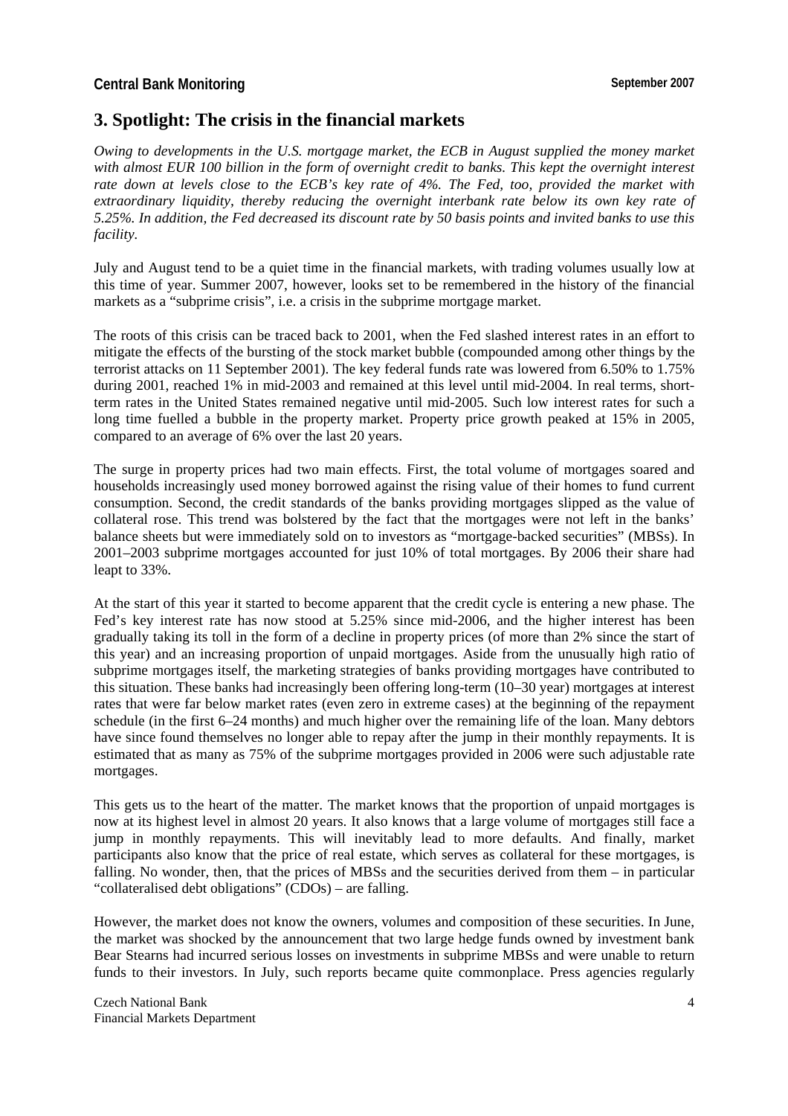# **3. Spotlight: The crisis in the financial markets**

*Owing to developments in the U.S. mortgage market, the ECB in August supplied the money market with almost EUR 100 billion in the form of overnight credit to banks. This kept the overnight interest rate down at levels close to the ECB's key rate of 4%. The Fed, too, provided the market with extraordinary liquidity, thereby reducing the overnight interbank rate below its own key rate of 5.25%. In addition, the Fed decreased its discount rate by 50 basis points and invited banks to use this facility.*

July and August tend to be a quiet time in the financial markets, with trading volumes usually low at this time of year. Summer 2007, however, looks set to be remembered in the history of the financial markets as a "subprime crisis", i.e. a crisis in the subprime mortgage market.

The roots of this crisis can be traced back to 2001, when the Fed slashed interest rates in an effort to mitigate the effects of the bursting of the stock market bubble (compounded among other things by the terrorist attacks on 11 September 2001). The key federal funds rate was lowered from 6.50% to 1.75% during 2001, reached 1% in mid-2003 and remained at this level until mid-2004. In real terms, shortterm rates in the United States remained negative until mid-2005. Such low interest rates for such a long time fuelled a bubble in the property market. Property price growth peaked at 15% in 2005, compared to an average of 6% over the last 20 years.

The surge in property prices had two main effects. First, the total volume of mortgages soared and households increasingly used money borrowed against the rising value of their homes to fund current consumption. Second, the credit standards of the banks providing mortgages slipped as the value of collateral rose. This trend was bolstered by the fact that the mortgages were not left in the banks' balance sheets but were immediately sold on to investors as "mortgage-backed securities" (MBSs). In 2001–2003 subprime mortgages accounted for just 10% of total mortgages. By 2006 their share had leapt to 33%.

At the start of this year it started to become apparent that the credit cycle is entering a new phase. The Fed's key interest rate has now stood at 5.25% since mid-2006, and the higher interest has been gradually taking its toll in the form of a decline in property prices (of more than 2% since the start of this year) and an increasing proportion of unpaid mortgages. Aside from the unusually high ratio of subprime mortgages itself, the marketing strategies of banks providing mortgages have contributed to this situation. These banks had increasingly been offering long-term (10–30 year) mortgages at interest rates that were far below market rates (even zero in extreme cases) at the beginning of the repayment schedule (in the first 6–24 months) and much higher over the remaining life of the loan. Many debtors have since found themselves no longer able to repay after the jump in their monthly repayments. It is estimated that as many as 75% of the subprime mortgages provided in 2006 were such adjustable rate mortgages.

This gets us to the heart of the matter. The market knows that the proportion of unpaid mortgages is now at its highest level in almost 20 years. It also knows that a large volume of mortgages still face a jump in monthly repayments. This will inevitably lead to more defaults. And finally, market participants also know that the price of real estate, which serves as collateral for these mortgages, is falling. No wonder, then, that the prices of MBSs and the securities derived from them – in particular "collateralised debt obligations" (CDOs) – are falling.

However, the market does not know the owners, volumes and composition of these securities. In June, the market was shocked by the announcement that two large hedge funds owned by investment bank Bear Stearns had incurred serious losses on investments in subprime MBSs and were unable to return funds to their investors. In July, such reports became quite commonplace. Press agencies regularly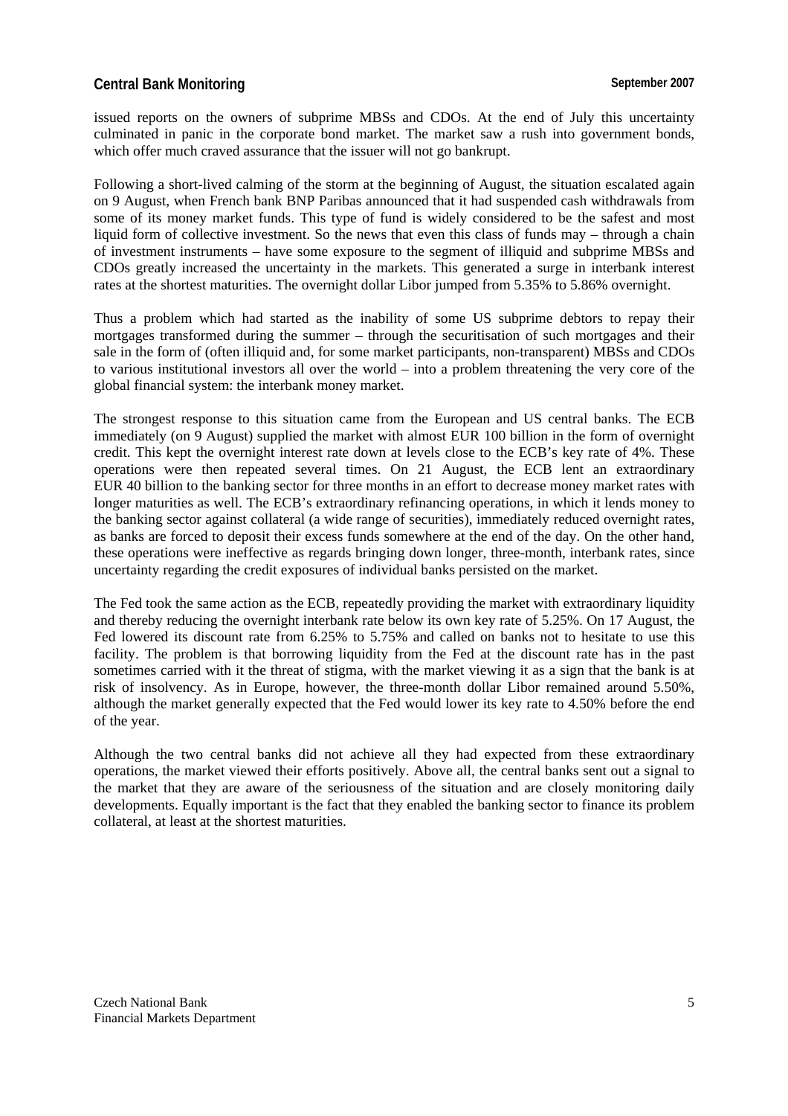## **Central Bank Monitoring September 2007**

issued reports on the owners of subprime MBSs and CDOs. At the end of July this uncertainty culminated in panic in the corporate bond market. The market saw a rush into government bonds, which offer much craved assurance that the issuer will not go bankrupt.

Following a short-lived calming of the storm at the beginning of August, the situation escalated again on 9 August, when French bank BNP Paribas announced that it had suspended cash withdrawals from some of its money market funds. This type of fund is widely considered to be the safest and most liquid form of collective investment. So the news that even this class of funds may – through a chain of investment instruments – have some exposure to the segment of illiquid and subprime MBSs and CDOs greatly increased the uncertainty in the markets. This generated a surge in interbank interest rates at the shortest maturities. The overnight dollar Libor jumped from 5.35% to 5.86% overnight.

Thus a problem which had started as the inability of some US subprime debtors to repay their mortgages transformed during the summer – through the securitisation of such mortgages and their sale in the form of (often illiquid and, for some market participants, non-transparent) MBSs and CDOs to various institutional investors all over the world – into a problem threatening the very core of the global financial system: the interbank money market.

The strongest response to this situation came from the European and US central banks. The ECB immediately (on 9 August) supplied the market with almost EUR 100 billion in the form of overnight credit. This kept the overnight interest rate down at levels close to the ECB's key rate of 4%. These operations were then repeated several times. On 21 August, the ECB lent an extraordinary EUR 40 billion to the banking sector for three months in an effort to decrease money market rates with longer maturities as well. The ECB's extraordinary refinancing operations, in which it lends money to the banking sector against collateral (a wide range of securities), immediately reduced overnight rates, as banks are forced to deposit their excess funds somewhere at the end of the day. On the other hand, these operations were ineffective as regards bringing down longer, three-month, interbank rates, since uncertainty regarding the credit exposures of individual banks persisted on the market.

The Fed took the same action as the ECB, repeatedly providing the market with extraordinary liquidity and thereby reducing the overnight interbank rate below its own key rate of 5.25%. On 17 August, the Fed lowered its discount rate from 6.25% to 5.75% and called on banks not to hesitate to use this facility. The problem is that borrowing liquidity from the Fed at the discount rate has in the past sometimes carried with it the threat of stigma, with the market viewing it as a sign that the bank is at risk of insolvency. As in Europe, however, the three-month dollar Libor remained around 5.50%, although the market generally expected that the Fed would lower its key rate to 4.50% before the end of the year.

Although the two central banks did not achieve all they had expected from these extraordinary operations, the market viewed their efforts positively. Above all, the central banks sent out a signal to the market that they are aware of the seriousness of the situation and are closely monitoring daily developments. Equally important is the fact that they enabled the banking sector to finance its problem collateral, at least at the shortest maturities.